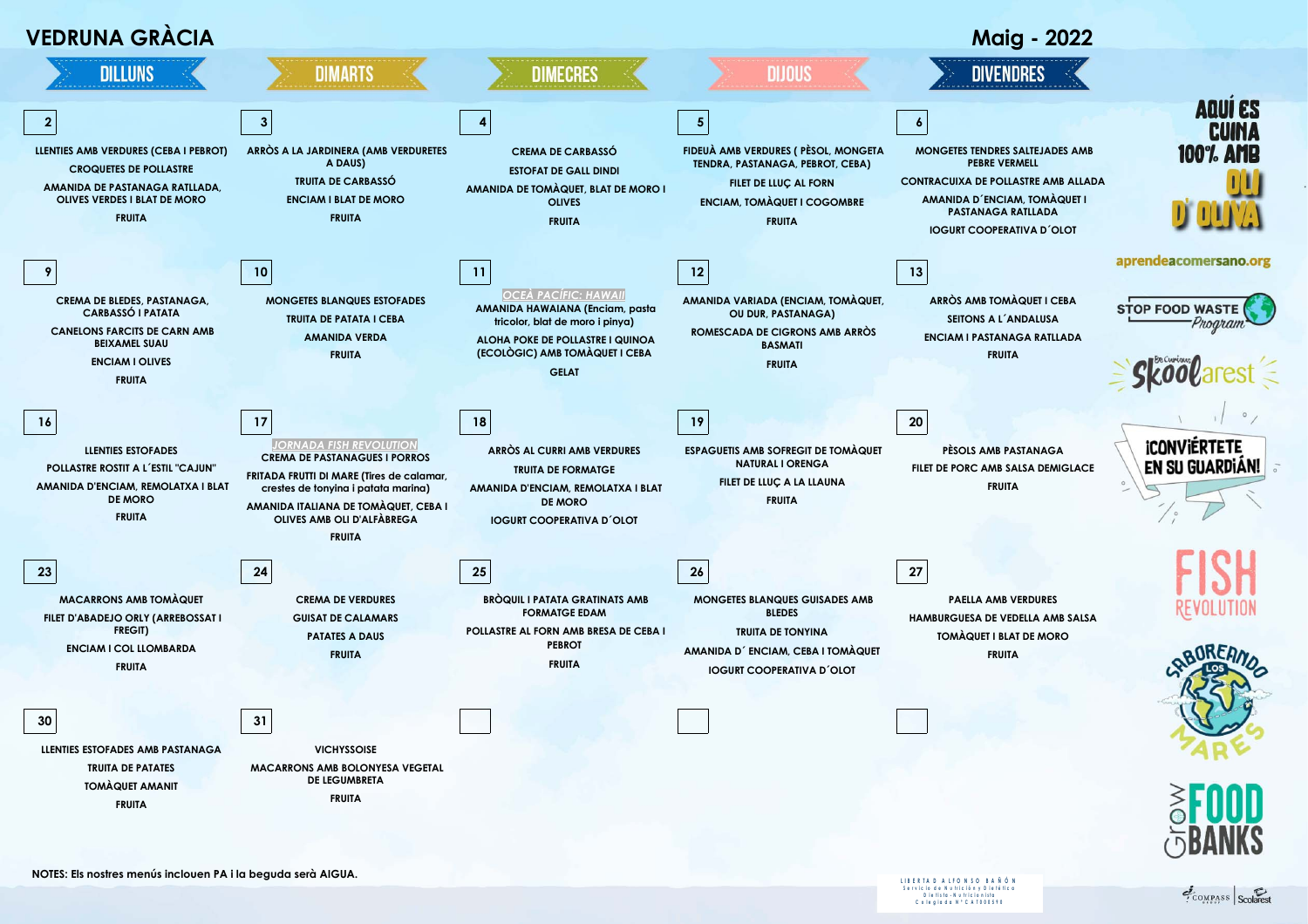

S e r vic io d e N u tric ión y D i e té tic a<br>D i e tis ta - N u tric ionista<br>C o l e gia d a N º C A T 0 0 0 5 9 0

COMPASS Scolares